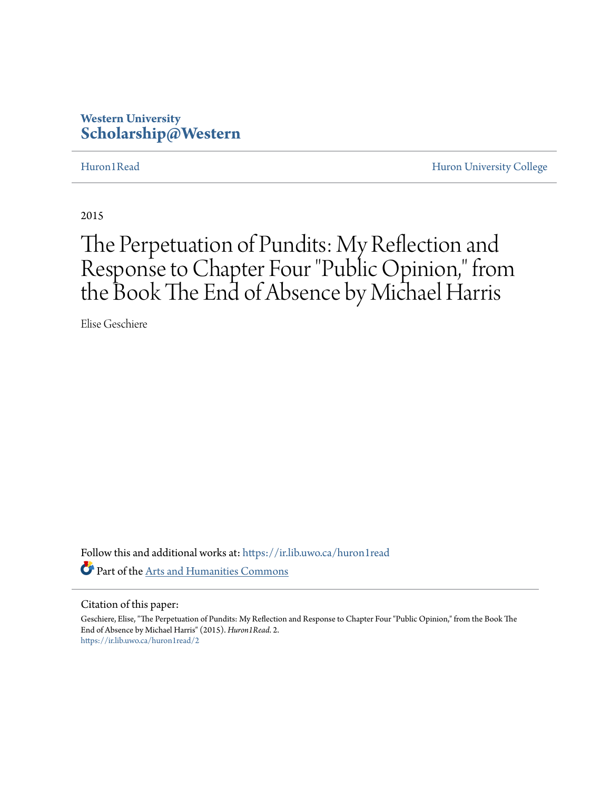## **Western University [Scholarship@Western](https://ir.lib.uwo.ca?utm_source=ir.lib.uwo.ca%2Fhuron1read%2F2&utm_medium=PDF&utm_campaign=PDFCoverPages)**

[Huron1Read](https://ir.lib.uwo.ca/huron1read?utm_source=ir.lib.uwo.ca%2Fhuron1read%2F2&utm_medium=PDF&utm_campaign=PDFCoverPages) [Huron University College](https://ir.lib.uwo.ca/huron?utm_source=ir.lib.uwo.ca%2Fhuron1read%2F2&utm_medium=PDF&utm_campaign=PDFCoverPages)

2015

# The Perpetuation of Pundits: My Reflection and Response to Chapter Four "Public Opinion," from the Book The End of Absence by Michael Harris

Elise Geschiere

Follow this and additional works at: [https://ir.lib.uwo.ca/huron1read](https://ir.lib.uwo.ca/huron1read?utm_source=ir.lib.uwo.ca%2Fhuron1read%2F2&utm_medium=PDF&utm_campaign=PDFCoverPages) Part of the [Arts and Humanities Commons](http://network.bepress.com/hgg/discipline/438?utm_source=ir.lib.uwo.ca%2Fhuron1read%2F2&utm_medium=PDF&utm_campaign=PDFCoverPages)

### Citation of this paper:

Geschiere, Elise, "The Perpetuation of Pundits: My Reflection and Response to Chapter Four "Public Opinion," from the Book The End of Absence by Michael Harris" (2015). *Huron1Read*. 2. [https://ir.lib.uwo.ca/huron1read/2](https://ir.lib.uwo.ca/huron1read/2?utm_source=ir.lib.uwo.ca%2Fhuron1read%2F2&utm_medium=PDF&utm_campaign=PDFCoverPages)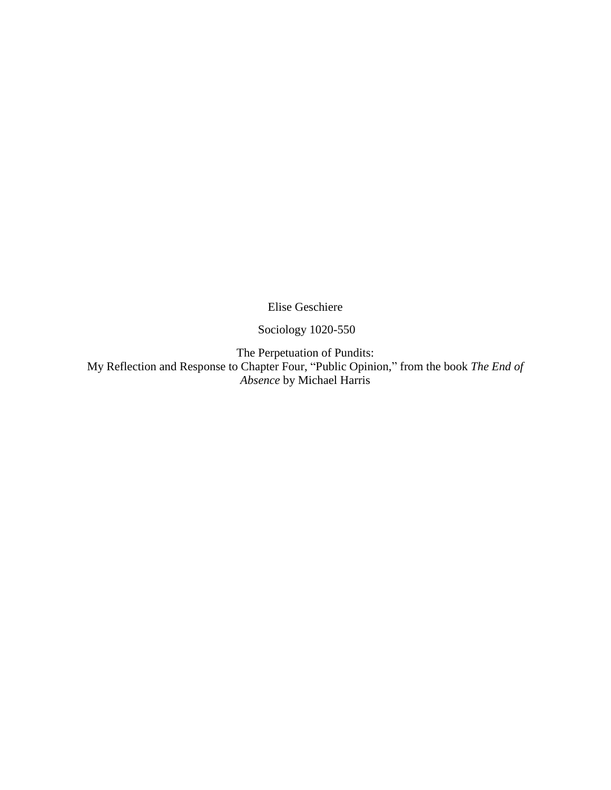Elise Geschiere

Sociology 1020-550

The Perpetuation of Pundits:

My Reflection and Response to Chapter Four, "Public Opinion," from the book *The End of Absence* by Michael Harris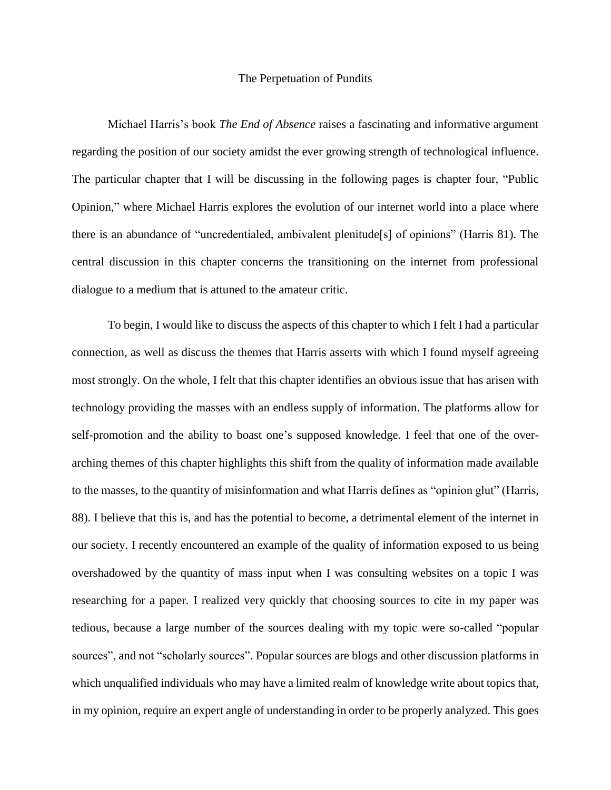### The Perpetuation of Pundits

Michael Harris's book *The End of Absence* raises a fascinating and informative argument regarding the position of our society amidst the ever growing strength of technological influence. The particular chapter that I will be discussing in the following pages is chapter four, "Public Opinion," where Michael Harris explores the evolution of our internet world into a place where there is an abundance of "uncredentialed, ambivalent plenitude[s] of opinions" (Harris 81). The central discussion in this chapter concerns the transitioning on the internet from professional dialogue to a medium that is attuned to the amateur critic.

To begin, I would like to discuss the aspects of this chapter to which I felt I had a particular connection, as well as discuss the themes that Harris asserts with which I found myself agreeing most strongly. On the whole, I felt that this chapter identifies an obvious issue that has arisen with technology providing the masses with an endless supply of information. The platforms allow for self-promotion and the ability to boast one's supposed knowledge. I feel that one of the overarching themes of this chapter highlights this shift from the quality of information made available to the masses, to the quantity of misinformation and what Harris defines as "opinion glut" (Harris, 88). I believe that this is, and has the potential to become, a detrimental element of the internet in our society. I recently encountered an example of the quality of information exposed to us being overshadowed by the quantity of mass input when I was consulting websites on a topic I was researching for a paper. I realized very quickly that choosing sources to cite in my paper was tedious, because a large number of the sources dealing with my topic were so-called "popular sources", and not "scholarly sources". Popular sources are blogs and other discussion platforms in which unqualified individuals who may have a limited realm of knowledge write about topics that, in my opinion, require an expert angle of understanding in order to be properly analyzed. This goes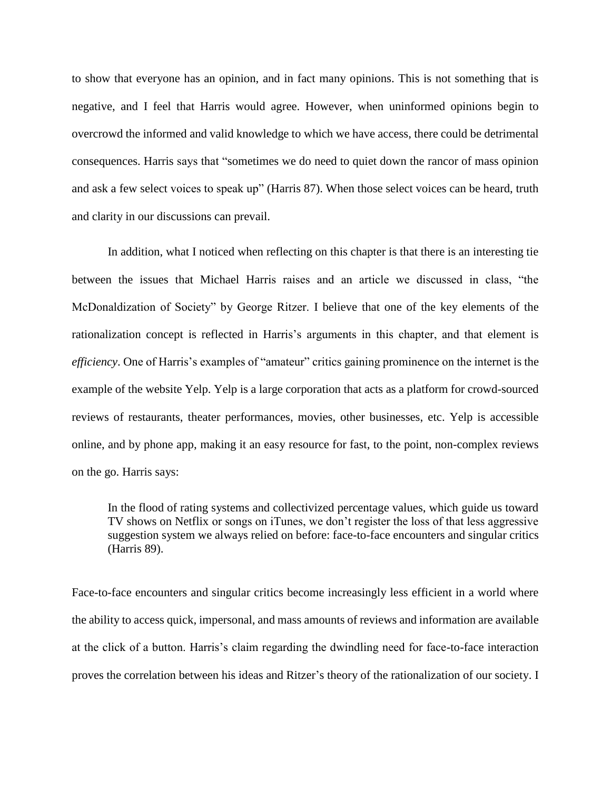to show that everyone has an opinion, and in fact many opinions. This is not something that is negative, and I feel that Harris would agree. However, when uninformed opinions begin to overcrowd the informed and valid knowledge to which we have access, there could be detrimental consequences. Harris says that "sometimes we do need to quiet down the rancor of mass opinion and ask a few select voices to speak up" (Harris 87). When those select voices can be heard, truth and clarity in our discussions can prevail.

In addition, what I noticed when reflecting on this chapter is that there is an interesting tie between the issues that Michael Harris raises and an article we discussed in class, "the McDonaldization of Society" by George Ritzer. I believe that one of the key elements of the rationalization concept is reflected in Harris's arguments in this chapter, and that element is *efficiency*. One of Harris's examples of "amateur" critics gaining prominence on the internet is the example of the website Yelp. Yelp is a large corporation that acts as a platform for crowd-sourced reviews of restaurants, theater performances, movies, other businesses, etc. Yelp is accessible online, and by phone app, making it an easy resource for fast, to the point, non-complex reviews on the go. Harris says:

In the flood of rating systems and collectivized percentage values, which guide us toward TV shows on Netflix or songs on iTunes, we don't register the loss of that less aggressive suggestion system we always relied on before: face-to-face encounters and singular critics (Harris 89).

Face-to-face encounters and singular critics become increasingly less efficient in a world where the ability to access quick, impersonal, and mass amounts of reviews and information are available at the click of a button. Harris's claim regarding the dwindling need for face-to-face interaction proves the correlation between his ideas and Ritzer's theory of the rationalization of our society. I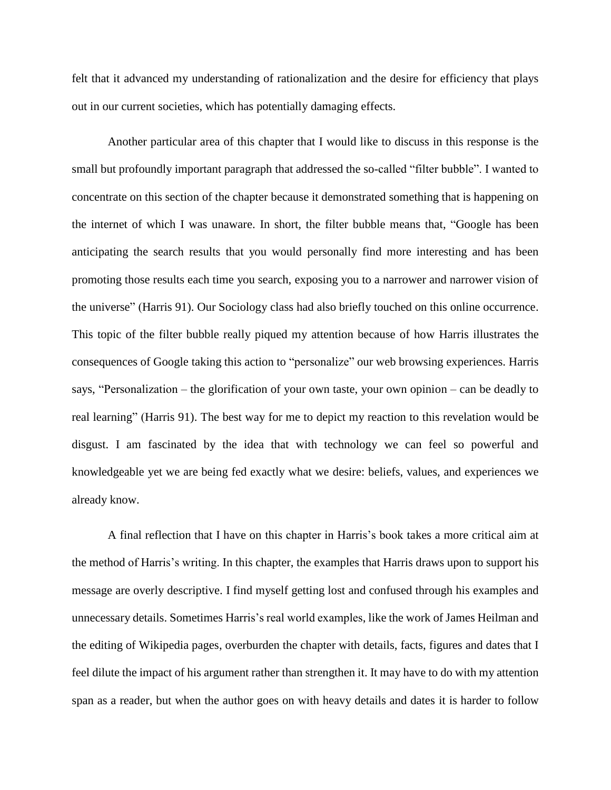felt that it advanced my understanding of rationalization and the desire for efficiency that plays out in our current societies, which has potentially damaging effects.

Another particular area of this chapter that I would like to discuss in this response is the small but profoundly important paragraph that addressed the so-called "filter bubble". I wanted to concentrate on this section of the chapter because it demonstrated something that is happening on the internet of which I was unaware. In short, the filter bubble means that, "Google has been anticipating the search results that you would personally find more interesting and has been promoting those results each time you search, exposing you to a narrower and narrower vision of the universe" (Harris 91). Our Sociology class had also briefly touched on this online occurrence. This topic of the filter bubble really piqued my attention because of how Harris illustrates the consequences of Google taking this action to "personalize" our web browsing experiences. Harris says, "Personalization – the glorification of your own taste, your own opinion – can be deadly to real learning" (Harris 91). The best way for me to depict my reaction to this revelation would be disgust. I am fascinated by the idea that with technology we can feel so powerful and knowledgeable yet we are being fed exactly what we desire: beliefs, values, and experiences we already know.

A final reflection that I have on this chapter in Harris's book takes a more critical aim at the method of Harris's writing. In this chapter, the examples that Harris draws upon to support his message are overly descriptive. I find myself getting lost and confused through his examples and unnecessary details. Sometimes Harris's real world examples, like the work of James Heilman and the editing of Wikipedia pages, overburden the chapter with details, facts, figures and dates that I feel dilute the impact of his argument rather than strengthen it. It may have to do with my attention span as a reader, but when the author goes on with heavy details and dates it is harder to follow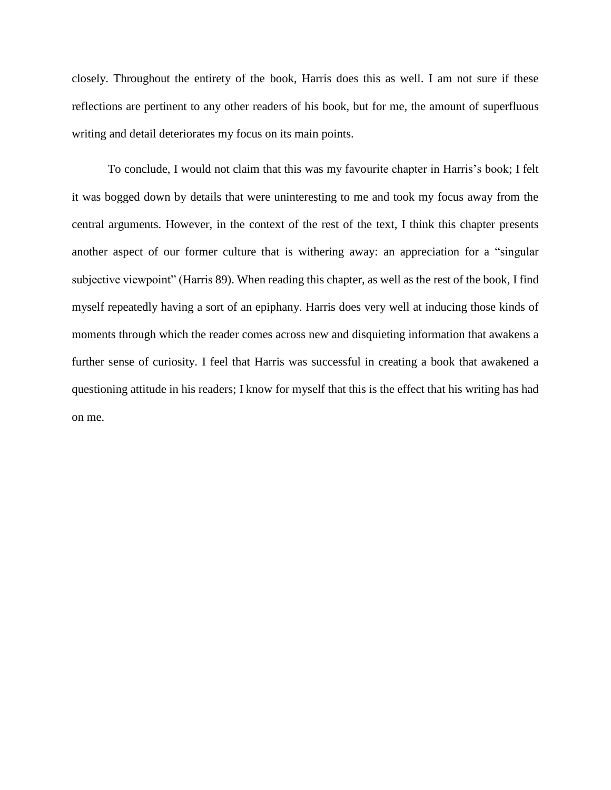closely. Throughout the entirety of the book, Harris does this as well. I am not sure if these reflections are pertinent to any other readers of his book, but for me, the amount of superfluous writing and detail deteriorates my focus on its main points.

To conclude, I would not claim that this was my favourite chapter in Harris's book; I felt it was bogged down by details that were uninteresting to me and took my focus away from the central arguments. However, in the context of the rest of the text, I think this chapter presents another aspect of our former culture that is withering away: an appreciation for a "singular subjective viewpoint" (Harris 89). When reading this chapter, as well as the rest of the book, I find myself repeatedly having a sort of an epiphany. Harris does very well at inducing those kinds of moments through which the reader comes across new and disquieting information that awakens a further sense of curiosity. I feel that Harris was successful in creating a book that awakened a questioning attitude in his readers; I know for myself that this is the effect that his writing has had on me.